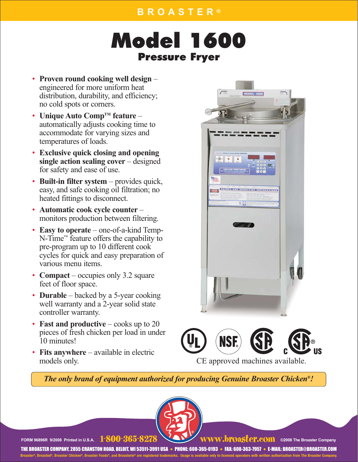# Model 1600 Pressure Fryer

- **Proven round cooking well design** engineered for more uniform heat distribution, durability, and efficiency; no cold spots or corners.
- **Unique Auto Comp<sup>TM</sup> feature** automatically adjusts cooking time to accommodate for varying sizes and temperatures of loads.
- **Exclusive quick closing and opening single action sealing cover** – designed for safety and ease of use.
- **Built-in filter system** provides quick, easy, and safe cooking oil filtration; no heated fittings to disconnect.
- **Automatic cook cycle counter**  monitors production between filtering.
- **Easy to operate**  one-of-a-kind Temp-N-Time™ feature offers the capability to pre-program up to 10 different cook cycles for quick and easy preparation of various menu items.
- **Compact** occupies only 3.2 square feet of floor space.
- **Durable** backed by a 5-year cooking well warranty and a 2-year solid state controller warranty.
- **Fast and productive** cooks up to 20 pieces of fresh chicken per load in under 10 minutes!
- **Fits anywhere** available in electric models only.





CE approved machines available.

*The only brand of equipment authorized for producing Genuine Broaster Chicken®!*



**FORM 96896R 9/2008 Printed in U.S.A. 1-800-365**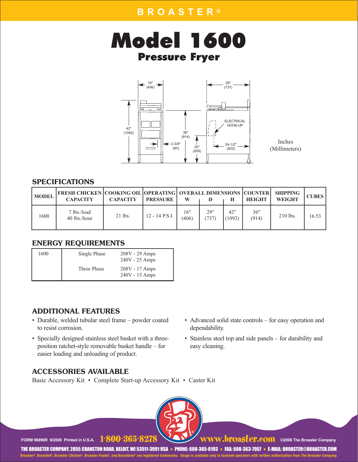



Inches (Millimeters)

#### SPECIFICATIONS

| <b>MODEL</b> | <b>FRESH CHICKEN COOKING OIL OPERATING OVERALL DIMENSIONS COUNTER SHIPPING</b><br><b>CAPACITY</b> | <b>CAPACITY</b> | <b>PRESSURE</b> | W            |            |               | HEIGHT       | <b>WEIGHT</b> | <b>CUBES</b> |
|--------------|---------------------------------------------------------------------------------------------------|-----------------|-----------------|--------------|------------|---------------|--------------|---------------|--------------|
| 1600         | 7 lbs./load<br>40 lbs./hour                                                                       | $21$ lbs.       | 12 - 14 P.S.I.  | 16"<br>(406) | 29"<br>737 | 42"<br>(1092) | 36"<br>(914) | $210$ lbs.    | 16.53        |

#### ENERGY REQUIREMENTS

| 1600 | Single Phase | $208V - 29$ Amps<br>$240V - 25$ Amps |
|------|--------------|--------------------------------------|
|      | Three Phase  | $208V - 17$ Amps<br>$240V - 15$ Amps |

#### ADDITIONAL FEATURES

- Durable, welded tubular steel frame powder coated to resist corrosion.
- Specially designed stainless steel basket with a threeposition ratchet-style removable basket handle – for easier loading and unloading of product.
- Advanced solid state controls for easy operation and dependability.
- Stainless steel top and side panels for durability and easy cleaning.

**©2008 The Broaster Company**

#### ACCESSORIES AVAILABLE

Basic Accessory Kit • Complete Start-up Accessory Kit • Caster Kit



**FORM 96896R 9/2008 Printed in U.S.A.**

WWW.broaster.com ©2008 The Broaster Company<br>• PHONE: 608-365-0193 • FAX: 608-363-7957 • E-MAIL: BROASTER@BROASTER.COM THE BROASTER COMPANY, 2855 CRANSTON ROAD, BELOIT, WI 53511-3991 USA **Broaster®, Broasted®, Broaster Chicken®, Broaster Foods®, and Broasterie® are registered trademarks. Usage is available only to licensed operators with written authorization from The Broaster Company.**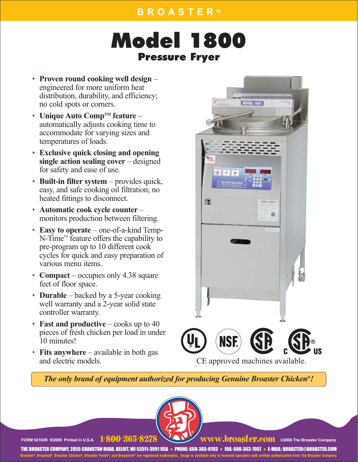### **BROASTER ®**

# Model 1800 Pressure Fryer

- **Proven round cooking well design** engineered for more uniform heat distribution, durability, and efficiency; no cold spots or corners.
- **Unique Auto Comp<sup>TM</sup> feature** automatically adjusts cooking time to accommodate for varying sizes and temperatures of loads.
- **Exclusive quick closing and opening single action sealing cover** – designed for safety and ease of use.
- **Built-in filter system** provides quick, easy, and safe cooking oil filtration; no heated fittings to disconnect.
- **Automatic cook cycle counter**  monitors production between filtering.
- **Easy to operate**  one-of-a-kind Temp-N-Time™ feature offers the capability to pre-program up to 10 different cook cycles for quick and easy preparation of various menu items.
- **Compact** occupies only 4.38 square feet of floor space.
- **Durable** backed by a 5-year cooking well warranty and a 2-year solid state controller warranty.
- **Fast and productive** cooks up to 40 pieces of fresh chicken per load in under 10 minutes!
- **Fits anywhere** available in both gas and electric models.



CE approved machines available.

*The only brand of equipment authorized for producing Genuine Broaster Chicken®!*



**FORM 92163R 9/2008 Printed in U.S.A.** 1-800-365-8278 WWW.broaster.com ©2008 The Broaster Company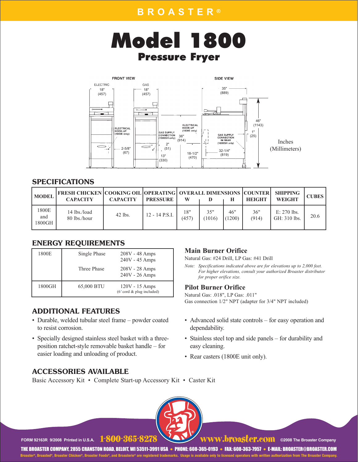



#### SPECIFICATIONS

| <b>MODEL</b>           | <b>FRESH CHICKEN COOKING OIL OPERATING OVERALL DIMENSIONS COUNTER</b><br><b>CAPACITY</b> | <b>CAPACITY</b> | <b>PRESSURE</b>  | w            |               |               | HEIGHT       | <b>SHIPPING</b><br><b>WEIGHT</b> | <b>CUBES</b> |
|------------------------|------------------------------------------------------------------------------------------|-----------------|------------------|--------------|---------------|---------------|--------------|----------------------------------|--------------|
| 1800E<br>and<br>1800GH | 14 lbs./load<br>80 lbs./hour                                                             | $42$ lbs.       | $12 - 14$ P.S.I. | 18"<br>(457) | 35"<br>(1016) | 46"<br>(1200) | 36"<br>(914) | $E: 270$ lbs.<br>GH: 310 lbs.    | 20.6         |

#### ENERGY REQUIREMENTS

| 1800E  | Single Phase | $208V - 48$ Amps<br>240V - 45 Amps                              |
|--------|--------------|-----------------------------------------------------------------|
|        | Three Phase  | 208V - 28 Amps<br>240V - 26 Amps                                |
| 1800GH | 65,000 BTU   | $120V - 15$ Amps<br>$(6' \text{ cord} \& \text{plug included})$ |

### ADDITIONAL FEATURES

- Durable, welded tubular steel frame powder coated to resist corrosion.
- Specially designed stainless steel basket with a threeposition ratchet-style removable basket handle – for easier loading and unloading of product.

### ACCESSORIES AVAILABLE

Basic Accessory Kit • Complete Start-up Accessory Kit • Caster Kit

#### **Main Burner Orifice**

Natural Gas: #24 Drill, LP Gas: #41 Drill

*Note: Specifications indicated above are for elevations up to 2,000 feet. For higher elevations, consult your authorized Broaster distributor for proper orifice size.*

#### **Pilot Burner Orifice**

Natural Gas: .018", LP Gas: .011" Gas connection 1/2" NPT (adapter for 3/4" NPT included)

- Advanced solid state controls for easy operation and dependability.
- Stainless steel top and side panels for durability and easy cleaning.
- Rear casters (1800E unit only).

**FORM 92163R 9/2008 Printed in U.S.A.** 1-800-365-8278 WWW.broaster.com ©2008 The Broaster Company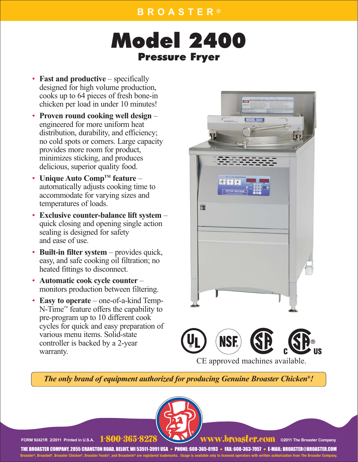# Model 2400 Pressure Fryer

- **Fast and productive** specifically designed for high volume production, cooks up to 64 pieces of fresh bone-in chicken per load in under 10 minutes!
- **Proven round cooking well design** engineered for more uniform heat distribution, durability, and efficiency; no cold spots or corners. Large capacity provides more room for product, minimizes sticking, and produces delicious, superior quality food.
- **Unique Auto Comp<sup>TM</sup> feature** automatically adjusts cooking time to accommodate for varying sizes and temperatures of loads.
- **Exclusive counter-balance lift system** quick closing and opening single action sealing is designed for safety and ease of use.
- **Built-in filter system** provides quick, easy, and safe cooking oil filtration; no heated fittings to disconnect.
- **Automatic cook cycle counter**  monitors production between filtering.
- **Easy to operate**  one-of-a-kind Temp-N-Time™ feature offers the capability to pre-program up to 10 different cook cycles for quick and easy preparation of various menu items. Solid-state controller is backed by a 2-year warranty.



®

CE approved machines available.

*The only brand of equipment authorized for producing Genuine Broaster Chicken®!*



**FORM 92421R 2/2011 Printed in U.S.A.** 1-800-365-8278 WWW.broaster.com @2011 The Broaster Company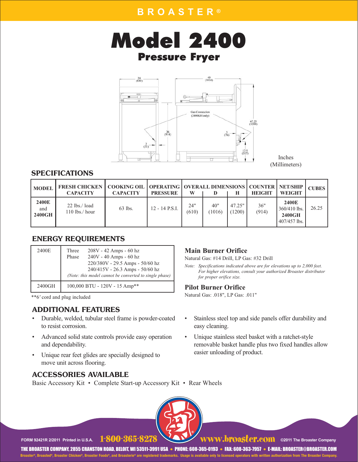



Inches (Millimeters)

#### SPECIFICATIONS

| <b>MODEL</b>           | <b>FRESH CHICKEN   COOKING OIL   OPERATING   OVERALL DIMENSIONS   COUNTER   NET/SHIP  </b><br><b>CAPACITY</b> | <b>CAPACITY</b> | <b>PRESSURE</b> | W            |               |                  | <b>HEIGHT</b> | <b>WEIGHT</b>                                   | <b>CUBES</b> |
|------------------------|---------------------------------------------------------------------------------------------------------------|-----------------|-----------------|--------------|---------------|------------------|---------------|-------------------------------------------------|--------------|
| 2400E<br>and<br>2400GH | $22$ lbs./ load<br>$110$ lbs./ hour                                                                           | 63 lbs.         | 12 - 14 P.S.I.  | 24"<br>(610) | 40"<br>(1016) | 47.25"<br>(1200) | 36"<br>(914)  | 2400E<br>360/410 lbs.<br>2400GH<br>407/457 lbs. | 26.25        |

#### ENERGY REQUIREMENTS

| 2400E  | $208V - 42$ Amps - 60 hz<br>Three<br>240V - 40 Amps - 60 hz<br>Phase<br>220/380V - 29.5 Amps - 50/60 hz<br>240/415V - 26.3 Amps - 50/60 hz<br>(Note: this model cannot be converted to single phase) |
|--------|------------------------------------------------------------------------------------------------------------------------------------------------------------------------------------------------------|
| 2400GH | 100,000 BTU - 120V - 15 Amp**                                                                                                                                                                        |

\*\*6*'* cord and plug included

### ADDITIONAL FEATURES

- Durable, welded, tubular steel frame is powder-coated to resist corrosion.
- Advanced solid state controls provide easy operation and dependability.
- Unique rear feet glides are specially designed to move unit across flooring.

#### ACCESSORIES AVAILABLE

Basic Accessory Kit • Complete Start-up Accessory Kit • Rear Wheels

#### **Main Burner Orifice**

Natural Gas: #14 Drill, LP Gas: #32 Drill

*Note: Specifications indicated above are for elevations up to 2,000 feet. For higher elevations, consult your authorized Broaster distributor for proper orifice size.*

#### **Pilot Burner Orifice**

Natural Gas: .018", LP Gas: .011"

- Stainless steel top and side panels offer durability and easy cleaning.
- Unique stainless steel basket with a ratchet-style removable basket handle plus two fixed handles allow easier unloading of product.

FORM 92421R 2/2011 Printed in U.S.A. **FOUU-365-8278** WWW.DPOSTCP.COM ©2011 The Broaster Company

**11-800-365-828 www.broaster.com @2011 The Broaster Company**<br>PHONE: 608-365-0193 • FAX: 608-363-7957 • E-MAIL: BROASTER@BROASTER.COM THE BROASTER COMPANY, 2855 CRANSTON ROAD, BELOIT, WI 53511-3991 USA

**Broaster®, Broasted®, Broaster Chicken®, Broaster Foods®, and Broasterie® are registered trademarks. Usage is available only to licensed operators with written authorization from The Broaster Company.**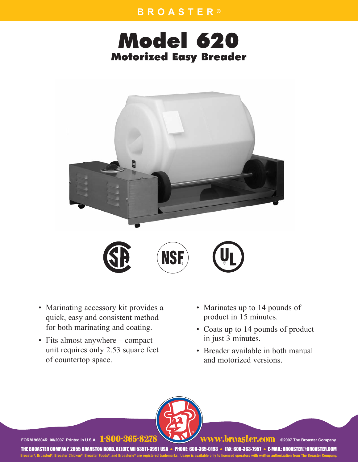### **BROASTER ®**

## Model 620 Motorized Easy Breader



- Marinating accessory kit provides a quick, easy and consistent method for both marinating and coating.
- Fits almost anywhere compact unit requires only 2.53 square feet of countertop space.
- Marinates up to 14 pounds of product in 15 minutes.
- Coats up to 14 pounds of product in just 3 minutes.
- Breader available in both manual and motorized versions.



FORM 96804R 08/2007 Printed in U.S.A. 1-800-365-8278 WWW.broaster.company

/W.bi'Oaster.com ©2007 The Broaster Company<br>93 • FAX: 608-363-7957 • E-MAIL: BROASTER@BROASTER.COM